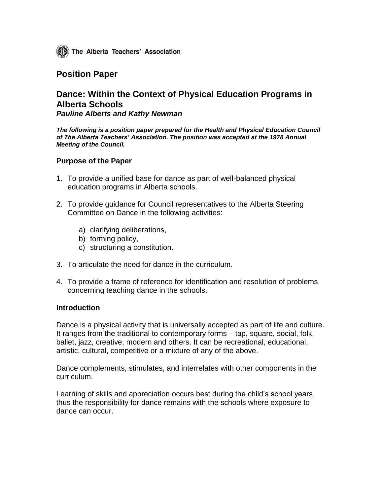The Alberta Teachers' Association

## **Position Paper**

# **Dance: Within the Context of Physical Education Programs in Alberta Schools**

*Pauline Alberts and Kathy Newman*

*The following is a position paper prepared for the Health and Physical Education Council of The Alberta Teachers' Association. The position was accepted at the 1978 Annual Meeting of the Council.*

### **Purpose of the Paper**

- 1. To provide a unified base for dance as part of well-balanced physical education programs in Alberta schools.
- 2. To provide guidance for Council representatives to the Alberta Steering Committee on Dance in the following activities:
	- a) clarifying deliberations,
	- b) forming policy,
	- c) structuring a constitution.
- 3. To articulate the need for dance in the curriculum.
- 4. To provide a frame of reference for identification and resolution of problems concerning teaching dance in the schools.

#### **Introduction**

Dance is a physical activity that is universally accepted as part of life and culture. It ranges from the traditional to contemporary forms – tap, square, social, folk, ballet, jazz, creative, modern and others. It can be recreational, educational, artistic, cultural, competitive or a mixture of any of the above.

Dance complements, stimulates, and interrelates with other components in the curriculum.

Learning of skills and appreciation occurs best during the child's school years, thus the responsibility for dance remains with the schools where exposure to dance can occur.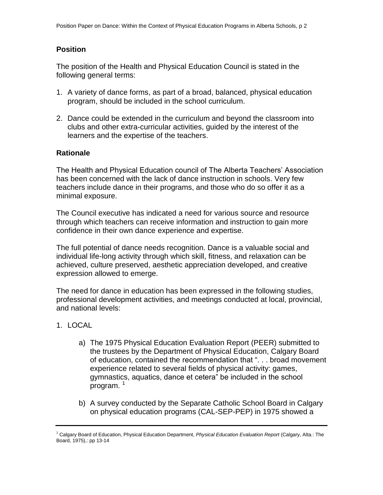## **Position**

The position of the Health and Physical Education Council is stated in the following general terms:

- 1. A variety of dance forms, as part of a broad, balanced, physical education program, should be included in the school curriculum.
- 2. Dance could be extended in the curriculum and beyond the classroom into clubs and other extra-curricular activities, guided by the interest of the learners and the expertise of the teachers.

### **Rationale**

The Health and Physical Education council of The Alberta Teachers' Association has been concerned with the lack of dance instruction in schools. Very few teachers include dance in their programs, and those who do so offer it as a minimal exposure.

The Council executive has indicated a need for various source and resource through which teachers can receive information and instruction to gain more confidence in their own dance experience and expertise.

The full potential of dance needs recognition. Dance is a valuable social and individual life-long activity through which skill, fitness, and relaxation can be achieved, culture preserved, aesthetic appreciation developed, and creative expression allowed to emerge.

The need for dance in education has been expressed in the following studies, professional development activities, and meetings conducted at local, provincial, and national levels:

## 1. LOCAL

- a) The 1975 Physical Education Evaluation Report (PEER) submitted to the trustees by the Department of Physical Education, Calgary Board of education, contained the recommendation that ". . . broad movement experience related to several fields of physical activity: games, gymnastics, aquatics, dance et cetera" be included in the school program.<sup>1</sup>
- b) A survey conducted by the Separate Catholic School Board in Calgary on physical education programs (CAL-SEP-PEP) in 1975 showed a

<sup>1</sup> Calgary Board of Education, Physical Education Department, *Physical Education Evaluation Report* (Calgary, Alta.: The Board, 1975),: pp 13-14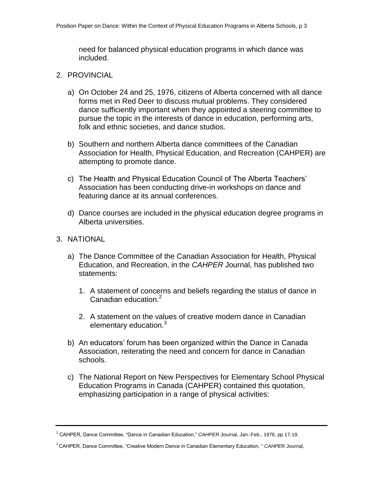need for balanced physical education programs in which dance was included.

- 2. PROVINCIAL
	- a) On October 24 and 25, 1976, citizens of Alberta concerned with all dance forms met in Red Deer to discuss mutual problems. They considered dance sufficiently important when they appointed a steering committee to pursue the topic in the interests of dance in education, performing arts, folk and ethnic societies, and dance studios.
	- b) Southern and northern Alberta dance committees of the Canadian Association for Health, Physical Education, and Recreation (CAHPER) are attempting to promote dance.
	- c) The Health and Physical Education Council of The Alberta Teachers' Association has been conducting drive-in workshops on dance and featuring dance at its annual conferences.
	- d) Dance courses are included in the physical education degree programs in Alberta universities.
- 3. NATIONAL
	- a) The Dance Committee of the Canadian Association for Health, Physical Education, and Recreation, in the *CAHPER* Journal, has published two statements:
		- 1. A statement of concerns and beliefs regarding the status of dance in Canadian education.<sup>2</sup>
		- 2. A statement on the values of creative modern dance in Canadian elementary education.<sup>3</sup>
	- b) An educators' forum has been organized within the Dance in Canada Association, reiterating the need and concern for dance in Canadian schools.
	- c) The National Report on New Perspectives for Elementary School Physical Education Programs in Canada (CAHPER) contained this quotation, emphasizing participation in a range of physical activities:

<sup>2</sup> CAHPER, Dance Committee, "Dance in Canadian Education," *CAHPER* Journal, Jan.-Feb., 1976, pp 17-19.

<sup>3</sup>CAHPER, Dance Committee, "Creative Modern Dance in Canadian Elementary Education, " *CAHPE*R Journal,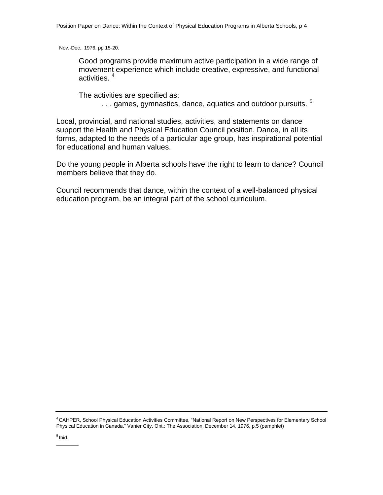Nov.-Dec., 1976, pp 15-20.

Good programs provide maximum active participation in a wide range of movement experience which include creative, expressive, and functional activities.<sup>4</sup>

The activities are specified as: ... games, gymnastics, dance, aquatics and outdoor pursuits.<sup>5</sup>

Local, provincial, and national studies, activities, and statements on dance support the Health and Physical Education Council position. Dance, in all its forms, adapted to the needs of a particular age group, has inspirational potential for educational and human values.

Do the young people in Alberta schools have the right to learn to dance? Council members believe that they do.

Council recommends that dance, within the context of a well-balanced physical education program, be an integral part of the school curriculum.

<sup>4</sup>CAHPER, School Physical Education Activities Committee, "National Report on New Perspectives for Elementary School Physical Education in Canada." Vanier City, Ont.: The Association, December 14, 1976, p.5 (pamphlet)

<sup>5</sup> Ibid.  $\overline{\phantom{a}}$